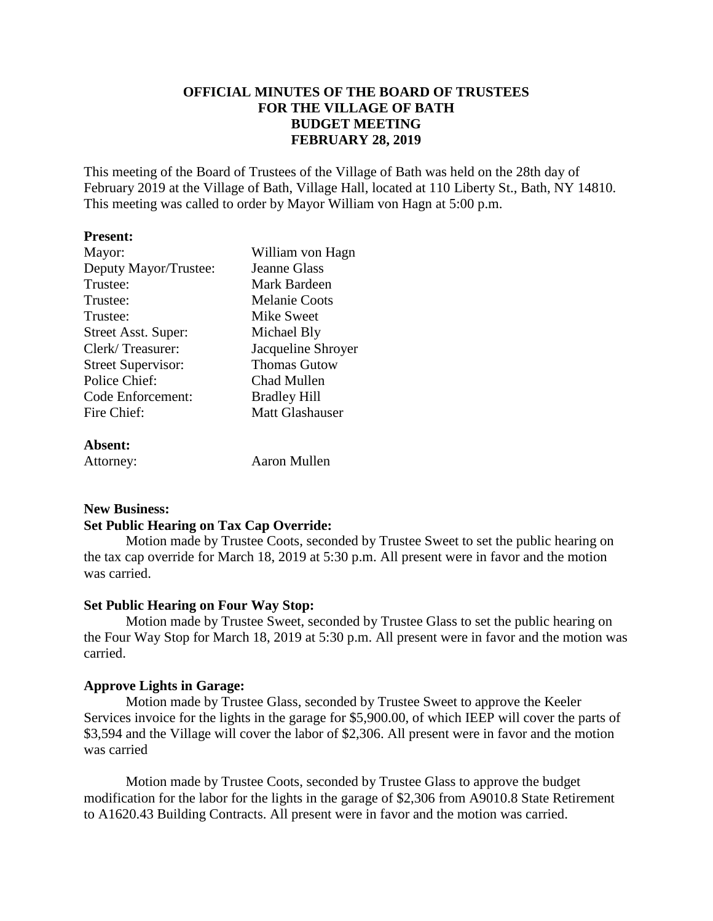## **OFFICIAL MINUTES OF THE BOARD OF TRUSTEES FOR THE VILLAGE OF BATH BUDGET MEETING FEBRUARY 28, 2019**

This meeting of the Board of Trustees of the Village of Bath was held on the 28th day of February 2019 at the Village of Bath, Village Hall, located at 110 Liberty St., Bath, NY 14810. This meeting was called to order by Mayor William von Hagn at 5:00 p.m.

#### **Present:**

| Mayor:                    | William von Hagn       |
|---------------------------|------------------------|
| Deputy Mayor/Trustee:     | <b>Jeanne Glass</b>    |
| Trustee:                  | Mark Bardeen           |
| Trustee:                  | Melanie Coots          |
| Trustee:                  | Mike Sweet             |
| Street Asst. Super:       | Michael Bly            |
| Clerk/Treasurer:          | Jacqueline Shroyer     |
| <b>Street Supervisor:</b> | <b>Thomas Gutow</b>    |
| Police Chief:             | Chad Mullen            |
| Code Enforcement:         | <b>Bradley Hill</b>    |
| Fire Chief:               | <b>Matt Glashauser</b> |
|                           |                        |
| $\lambda$ hoopt.          |                        |

**Absent:**

Attorney: Aaron Mullen

# **New Business:**

### **Set Public Hearing on Tax Cap Override:**

Motion made by Trustee Coots, seconded by Trustee Sweet to set the public hearing on the tax cap override for March 18, 2019 at 5:30 p.m. All present were in favor and the motion was carried.

### **Set Public Hearing on Four Way Stop:**

Motion made by Trustee Sweet, seconded by Trustee Glass to set the public hearing on the Four Way Stop for March 18, 2019 at 5:30 p.m. All present were in favor and the motion was carried.

### **Approve Lights in Garage:**

Motion made by Trustee Glass, seconded by Trustee Sweet to approve the Keeler Services invoice for the lights in the garage for \$5,900.00, of which IEEP will cover the parts of \$3,594 and the Village will cover the labor of \$2,306. All present were in favor and the motion was carried

Motion made by Trustee Coots, seconded by Trustee Glass to approve the budget modification for the labor for the lights in the garage of \$2,306 from A9010.8 State Retirement to A1620.43 Building Contracts. All present were in favor and the motion was carried.